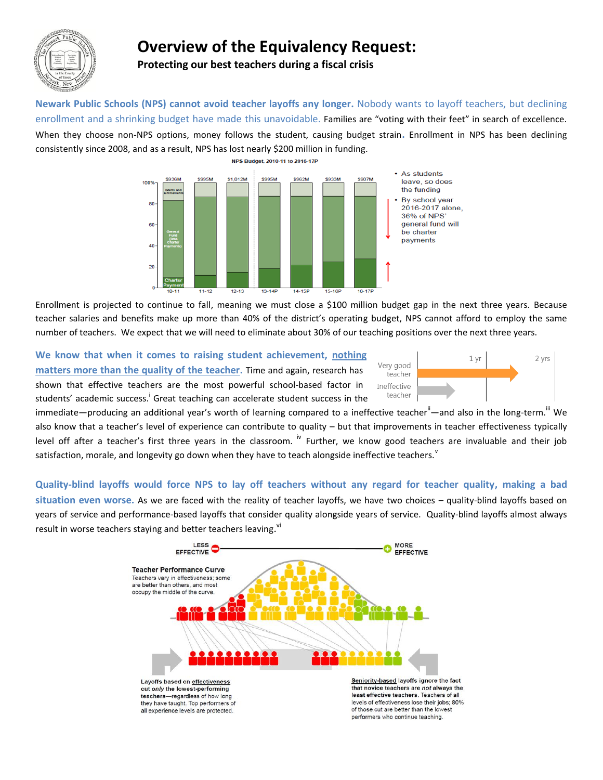

## **Overview of the Equivalency Request:**

**Protecting our best teachers during a fiscal crisis**

**Newark Public Schools (NPS) cannot avoid teacher layoffs any longer.** Nobody wants to layoff teachers, but declining enrollment and a shrinking budget have made this unavoidable. Families are "voting with their feet" in search of excellence. When they choose non-NPS options, money follows the student, causing budget strain**.** Enrollment in NPS has been declining consistently since 2008, and as a result, NPS has lost nearly \$200 million in funding.



Enrollment is projected to continue to fall, meaning we must close a \$100 million budget gap in the next three years. Because teacher salaries and benefits make up more than 40% of the district's operating budget, NPS cannot afford to employ the same number of teachers. We expect that we will need to eliminate about 30% of our teaching positions over the next three years.

**We know that when it comes to raising student achievement, nothing matters more than the quality of the teacher.** Time and again, research has shown that effective teachers are the most powerful school-based factor in students' academic success.<sup>i</sup> Great teaching can accelerate student success in the



immediate—producing an additional year's worth of learning compared to a ineffective teacher<sup>ii</sup>—and also in the long-term.<sup>""</sup> We also know that a teacher's level of experience can contribute to quality – but that improvements in teacher effectiveness typically level off after a teacher's first three years in the classroom.  $W$  Further, we know good teachers are invaluable and their job satisfaction, morale, and longevity go down when they have to teach alongside ineffective teachers.<sup>v</sup>

**Quality-blind layoffs would force NPS to lay off teachers without any regard for teacher quality, making a bad situation even worse.** As we are faced with the reality of teacher layoffs, we have two choices – quality-blind layoffs based on years of service and performance-based layoffs that consider quality alongside years of service. Quality-blind layoffs almost always result in worse teachers staying and better teachers leaving.<sup>vi</sup>

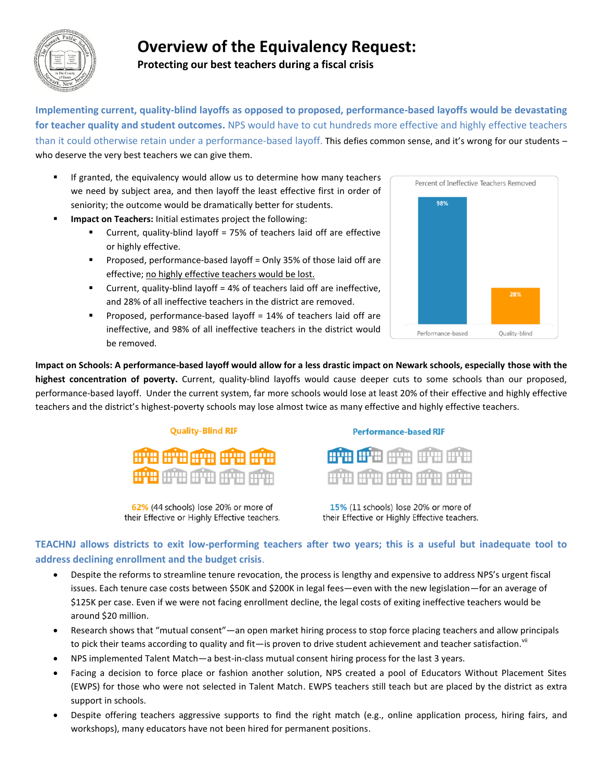

# **Overview of the Equivalency Request:**

**Protecting our best teachers during a fiscal crisis**

**Implementing current, quality-blind layoffs as opposed to proposed, performance-based layoffs would be devastating for teacher quality and student outcomes.** NPS would have to cut hundreds more effective and highly effective teachers than it could otherwise retain under a performance-based layoff. This defies common sense, and it's wrong for our students – who deserve the very best teachers we can give them.

- If granted, the equivalency would allow us to determine how many teachers we need by subject area, and then layoff the least effective first in order of seniority; the outcome would be dramatically better for students.
- **Impact on Teachers:** Initial estimates project the following:
	- Current, quality-blind layoff = 75% of teachers laid off are effective or highly effective.
	- **Proposed, performance-based layoff = Only 35% of those laid off are** effective; no highly effective teachers would be lost.
	- **Current, quality-blind layoff = 4% of teachers laid off are ineffective,** and 28% of all ineffective teachers in the district are removed.
	- Proposed, performance-based layoff = 14% of teachers laid off are ineffective, and 98% of all ineffective teachers in the district would be removed.



**Impact on Schools: A performance-based layoff would allow for a less drastic impact on Newark schools, especially those with the highest concentration of poverty.** Current, quality-blind layoffs would cause deeper cuts to some schools than our proposed, performance-based layoff. Under the current system, far more schools would lose at least 20% of their effective and highly effective teachers and the district's highest-poverty schools may lose almost twice as many effective and highly effective teachers.

#### **Quality-Blind RIF**



62% (44 schools) lose 20% or more of their Effective or Highly Effective teachers.

#### **Performance-based RIF**

|  |                           | HITH HITH HITH HITH |  |
|--|---------------------------|---------------------|--|
|  | التنتيل التنتيبا التنتيبا |                     |  |

15% (11 schools) lose 20% or more of their Effective or Highly Effective teachers.

### **TEACHNJ allows districts to exit low-performing teachers after two years; this is a useful but inadequate tool to address declining enrollment and the budget crisis**.

- Despite the reforms to streamline tenure revocation, the process is lengthy and expensive to address NPS's urgent fiscal issues. Each tenure case costs between \$50K and \$200K in legal fees—even with the new legislation—for an average of \$125K per case. Even if we were not facing enrollment decline, the legal costs of exiting ineffective teachers would be around \$20 million.
- Research shows that "mutual consent"—an open market hiring process to stop force placing teachers and allow principals to pick their teams according to quality and fit—is proven to drive student achievement and teacher satisfaction.<sup>vii</sup>
- NPS implemented Talent Match—a best-in-class mutual consent hiring process for the last 3 years.
- Facing a decision to force place or fashion another solution, NPS created a pool of Educators Without Placement Sites (EWPS) for those who were not selected in Talent Match. EWPS teachers still teach but are placed by the district as extra support in schools.
- Despite offering teachers aggressive supports to find the right match (e.g., online application process, hiring fairs, and workshops), many educators have not been hired for permanent positions.